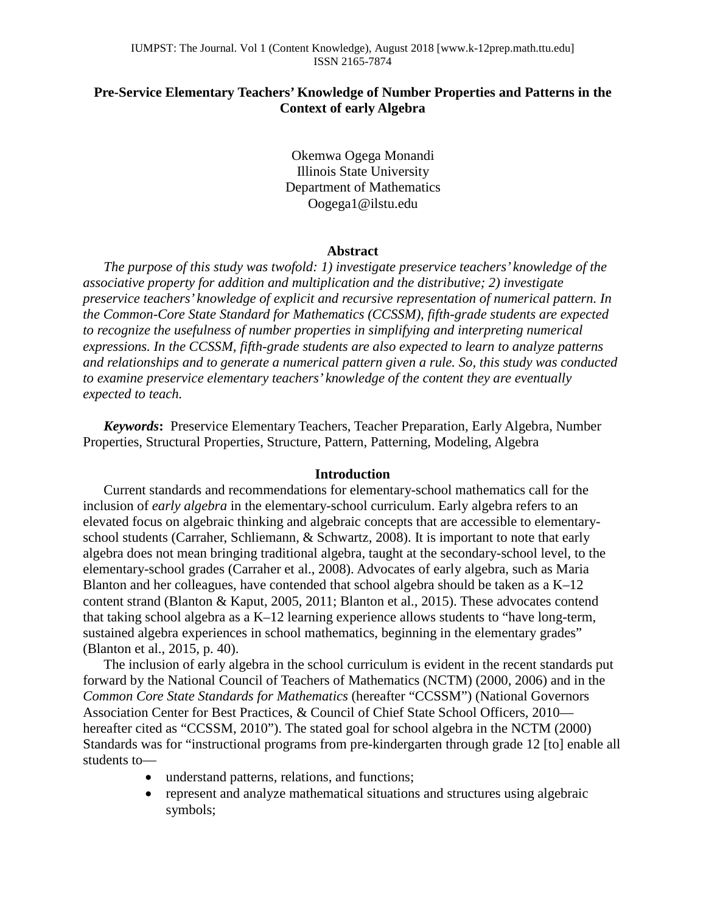# **Pre-Service Elementary Teachers' Knowledge of Number Properties and Patterns in the Context of early Algebra**

Okemwa Ogega Monandi Illinois State University Department of Mathematics Oogega1@ilstu.edu

#### **Abstract**

*The purpose of this study was twofold: 1) investigate preservice teachers' knowledge of the associative property for addition and multiplication and the distributive; 2) investigate preservice teachers' knowledge of explicit and recursive representation of numerical pattern. In the Common-Core State Standard for Mathematics (CCSSM), fifth-grade students are expected to recognize the usefulness of number properties in simplifying and interpreting numerical expressions. In the CCSSM, fifth-grade students are also expected to learn to analyze patterns and relationships and to generate a numerical pattern given a rule. So, this study was conducted to examine preservice elementary teachers' knowledge of the content they are eventually expected to teach.*

*Keywords***:** Preservice Elementary Teachers, Teacher Preparation, Early Algebra, Number Properties, Structural Properties, Structure, Pattern, Patterning, Modeling, Algebra

## **Introduction**

Current standards and recommendations for elementary-school mathematics call for the inclusion of *early algebra* in the elementary-school curriculum. Early algebra refers to an elevated focus on algebraic thinking and algebraic concepts that are accessible to elementaryschool students (Carraher, Schliemann, & Schwartz, 2008). It is important to note that early algebra does not mean bringing traditional algebra, taught at the secondary-school level, to the elementary-school grades (Carraher et al., 2008). Advocates of early algebra, such as Maria Blanton and her colleagues, have contended that school algebra should be taken as a K–12 content strand (Blanton & Kaput, 2005, 2011; Blanton et al., 2015). These advocates contend that taking school algebra as a K–12 learning experience allows students to "have long-term, sustained algebra experiences in school mathematics, beginning in the elementary grades" (Blanton et al., 2015, p. 40).

The inclusion of early algebra in the school curriculum is evident in the recent standards put forward by the National Council of Teachers of Mathematics (NCTM) (2000, 2006) and in the *Common Core State Standards for Mathematics* (hereafter "CCSSM") (National Governors Association Center for Best Practices, & Council of Chief State School Officers, 2010 hereafter cited as "CCSSM, 2010"). The stated goal for school algebra in the NCTM (2000) Standards was for "instructional programs from pre-kindergarten through grade 12 [to] enable all students to—

- understand patterns, relations, and functions;
- represent and analyze mathematical situations and structures using algebraic symbols;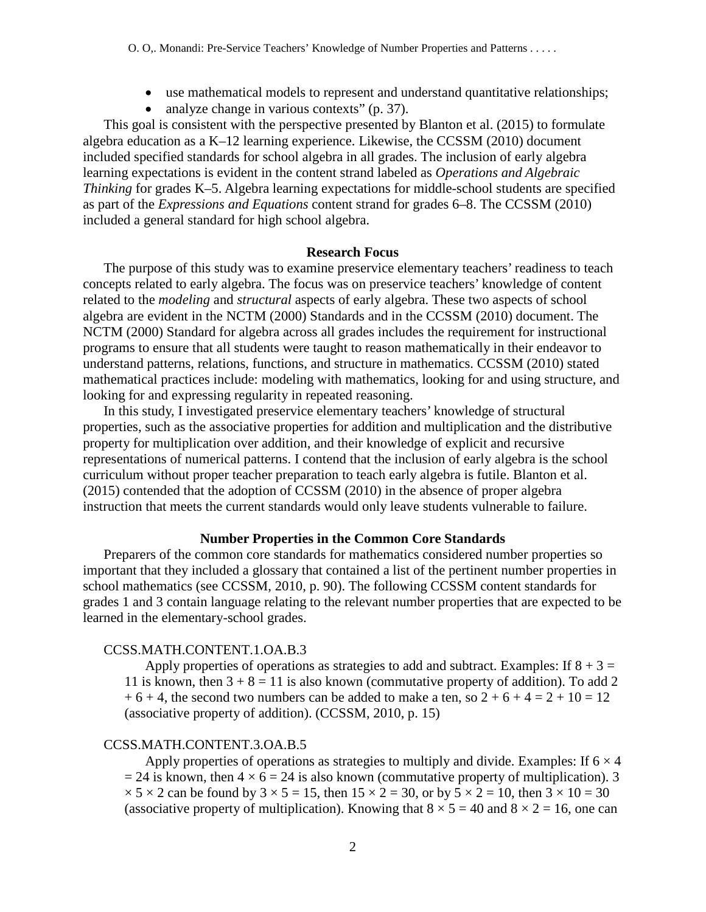- use mathematical models to represent and understand quantitative relationships;
- analyze change in various contexts" (p. 37).

This goal is consistent with the perspective presented by Blanton et al. (2015) to formulate algebra education as a K–12 learning experience. Likewise, the CCSSM (2010) document included specified standards for school algebra in all grades. The inclusion of early algebra learning expectations is evident in the content strand labeled as *Operations and Algebraic Thinking* for grades K–5. Algebra learning expectations for middle-school students are specified as part of the *Expressions and Equations* content strand for grades 6–8. The CCSSM (2010) included a general standard for high school algebra.

#### **Research Focus**

The purpose of this study was to examine preservice elementary teachers' readiness to teach concepts related to early algebra. The focus was on preservice teachers' knowledge of content related to the *modeling* and *structural* aspects of early algebra. These two aspects of school algebra are evident in the NCTM (2000) Standards and in the CCSSM (2010) document. The NCTM (2000) Standard for algebra across all grades includes the requirement for instructional programs to ensure that all students were taught to reason mathematically in their endeavor to understand patterns, relations, functions, and structure in mathematics. CCSSM (2010) stated mathematical practices include: modeling with mathematics, looking for and using structure, and looking for and expressing regularity in repeated reasoning.

In this study, I investigated preservice elementary teachers' knowledge of structural properties, such as the associative properties for addition and multiplication and the distributive property for multiplication over addition, and their knowledge of explicit and recursive representations of numerical patterns. I contend that the inclusion of early algebra is the school curriculum without proper teacher preparation to teach early algebra is futile. Blanton et al. (2015) contended that the adoption of CCSSM (2010) in the absence of proper algebra instruction that meets the current standards would only leave students vulnerable to failure.

### **Number Properties in the Common Core Standards**

Preparers of the common core standards for mathematics considered number properties so important that they included a glossary that contained a list of the pertinent number properties in school mathematics (see CCSSM, 2010, p. 90). The following CCSSM content standards for grades 1 and 3 contain language relating to the relevant number properties that are expected to be learned in the elementary-school grades.

### CCSS.MATH.CONTENT.1.OA.B.3

Apply properties of operations as strategies to add and subtract. Examples: If  $8 + 3 =$ 11 is known, then  $3 + 8 = 11$  is also known (commutative property of addition). To add 2  $+ 6 + 4$ , the second two numbers can be added to make a ten, so  $2 + 6 + 4 = 2 + 10 = 12$ (associative property of addition). (CCSSM, 2010, p. 15)

## CCSS.MATH.CONTENT.3.OA.B.5

Apply properties of operations as strategies to multiply and divide. Examples: If  $6 \times 4$  $= 24$  is known, then  $4 \times 6 = 24$  is also known (commutative property of multiplication). 3  $\times$  5  $\times$  2 can be found by 3  $\times$  5 = 15, then 15  $\times$  2 = 30, or by 5  $\times$  2 = 10, then 3  $\times$  10 = 30 (associative property of multiplication). Knowing that  $8 \times 5 = 40$  and  $8 \times 2 = 16$ , one can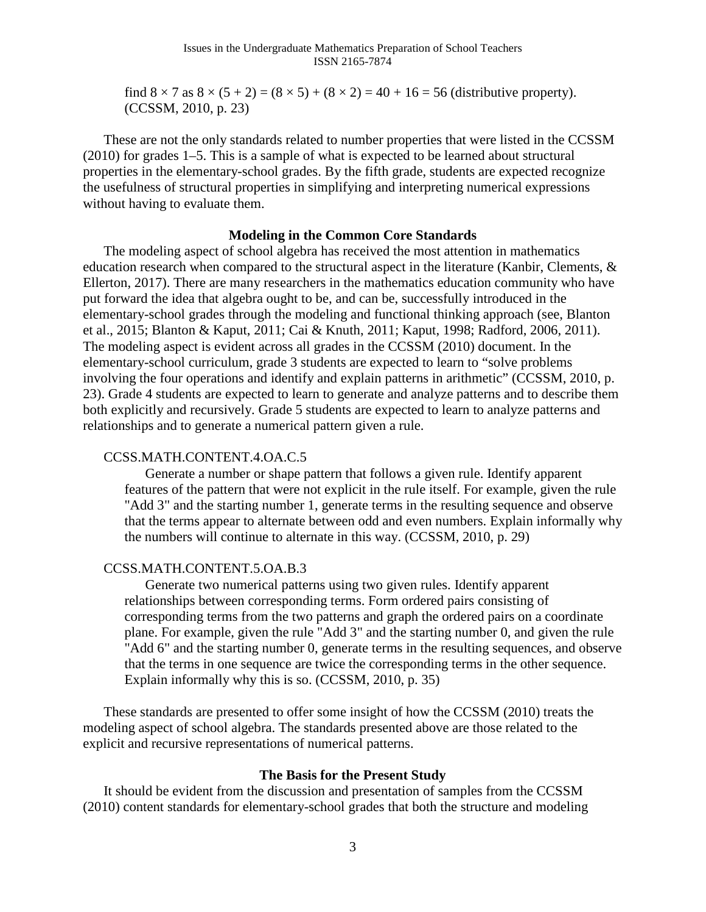find  $8 \times 7$  as  $8 \times (5 + 2) = (8 \times 5) + (8 \times 2) = 40 + 16 = 56$  (distributive property). (CCSSM, 2010, p. 23)

These are not the only standards related to number properties that were listed in the CCSSM (2010) for grades 1–5. This is a sample of what is expected to be learned about structural properties in the elementary-school grades. By the fifth grade, students are expected recognize the usefulness of structural properties in simplifying and interpreting numerical expressions without having to evaluate them.

## **Modeling in the Common Core Standards**

The modeling aspect of school algebra has received the most attention in mathematics education research when compared to the structural aspect in the literature (Kanbir, Clements, & Ellerton, 2017). There are many researchers in the mathematics education community who have put forward the idea that algebra ought to be, and can be, successfully introduced in the elementary-school grades through the modeling and functional thinking approach (see, Blanton et al., 2015; Blanton & Kaput, 2011; Cai & Knuth, 2011; Kaput, 1998; Radford, 2006, 2011). The modeling aspect is evident across all grades in the CCSSM (2010) document. In the elementary-school curriculum, grade 3 students are expected to learn to "solve problems involving the four operations and identify and explain patterns in arithmetic" (CCSSM, 2010, p. 23). Grade 4 students are expected to learn to generate and analyze patterns and to describe them both explicitly and recursively. Grade 5 students are expected to learn to analyze patterns and relationships and to generate a numerical pattern given a rule.

## CCSS.MATH.CONTENT.4.OA.C.5

Generate a number or shape pattern that follows a given rule. Identify apparent features of the pattern that were not explicit in the rule itself. For example, given the rule "Add 3" and the starting number 1, generate terms in the resulting sequence and observe that the terms appear to alternate between odd and even numbers. Explain informally why the numbers will continue to alternate in this way. (CCSSM, 2010, p. 29)

### CCSS.MATH.CONTENT.5.OA.B.3

Generate two numerical patterns using two given rules. Identify apparent relationships between corresponding terms. Form ordered pairs consisting of corresponding terms from the two patterns and graph the ordered pairs on a coordinate plane. For example, given the rule "Add 3" and the starting number 0, and given the rule "Add 6" and the starting number 0, generate terms in the resulting sequences, and observe that the terms in one sequence are twice the corresponding terms in the other sequence. Explain informally why this is so. (CCSSM, 2010, p. 35)

These standards are presented to offer some insight of how the CCSSM (2010) treats the modeling aspect of school algebra. The standards presented above are those related to the explicit and recursive representations of numerical patterns.

## **The Basis for the Present Study**

It should be evident from the discussion and presentation of samples from the CCSSM (2010) content standards for elementary-school grades that both the structure and modeling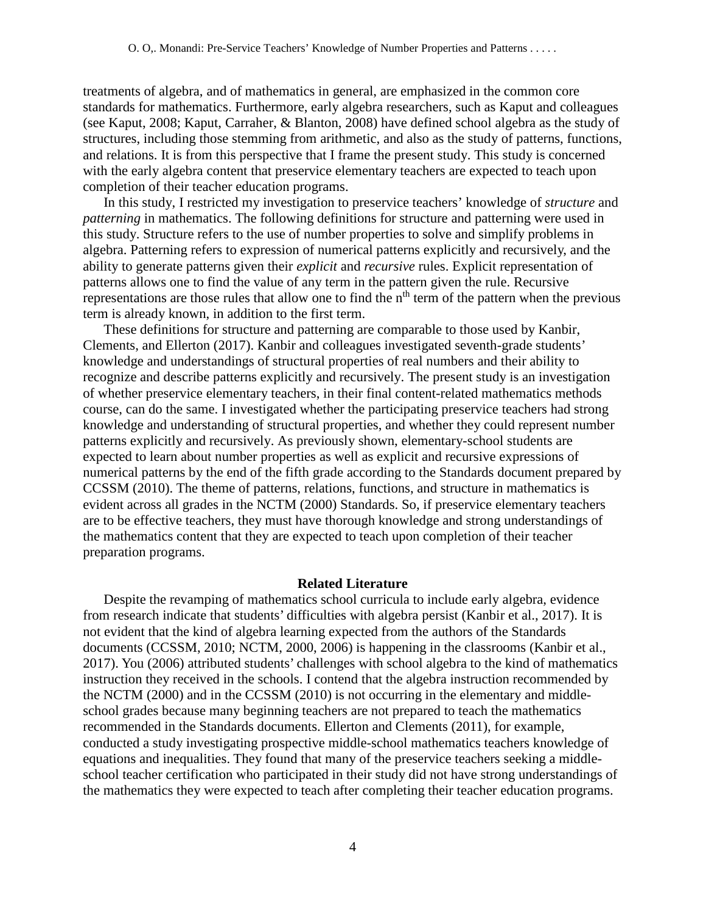treatments of algebra, and of mathematics in general, are emphasized in the common core standards for mathematics. Furthermore, early algebra researchers, such as Kaput and colleagues (see Kaput, 2008; Kaput, Carraher, & Blanton, 2008) have defined school algebra as the study of structures, including those stemming from arithmetic, and also as the study of patterns, functions, and relations. It is from this perspective that I frame the present study. This study is concerned with the early algebra content that preservice elementary teachers are expected to teach upon completion of their teacher education programs.

In this study, I restricted my investigation to preservice teachers' knowledge of *structure* and *patterning* in mathematics. The following definitions for structure and patterning were used in this study. Structure refers to the use of number properties to solve and simplify problems in algebra. Patterning refers to expression of numerical patterns explicitly and recursively, and the ability to generate patterns given their *explicit* and *recursive* rules. Explicit representation of patterns allows one to find the value of any term in the pattern given the rule. Recursive representations are those rules that allow one to find the n<sup>th</sup> term of the pattern when the previous term is already known, in addition to the first term.

These definitions for structure and patterning are comparable to those used by Kanbir, Clements, and Ellerton (2017). Kanbir and colleagues investigated seventh-grade students' knowledge and understandings of structural properties of real numbers and their ability to recognize and describe patterns explicitly and recursively. The present study is an investigation of whether preservice elementary teachers, in their final content-related mathematics methods course, can do the same. I investigated whether the participating preservice teachers had strong knowledge and understanding of structural properties, and whether they could represent number patterns explicitly and recursively. As previously shown, elementary-school students are expected to learn about number properties as well as explicit and recursive expressions of numerical patterns by the end of the fifth grade according to the Standards document prepared by CCSSM (2010). The theme of patterns, relations, functions, and structure in mathematics is evident across all grades in the NCTM (2000) Standards. So, if preservice elementary teachers are to be effective teachers, they must have thorough knowledge and strong understandings of the mathematics content that they are expected to teach upon completion of their teacher preparation programs.

### **Related Literature**

Despite the revamping of mathematics school curricula to include early algebra, evidence from research indicate that students' difficulties with algebra persist (Kanbir et al., 2017). It is not evident that the kind of algebra learning expected from the authors of the Standards documents (CCSSM, 2010; NCTM, 2000, 2006) is happening in the classrooms (Kanbir et al., 2017). You (2006) attributed students' challenges with school algebra to the kind of mathematics instruction they received in the schools. I contend that the algebra instruction recommended by the NCTM (2000) and in the CCSSM (2010) is not occurring in the elementary and middleschool grades because many beginning teachers are not prepared to teach the mathematics recommended in the Standards documents. Ellerton and Clements (2011), for example, conducted a study investigating prospective middle-school mathematics teachers knowledge of equations and inequalities. They found that many of the preservice teachers seeking a middleschool teacher certification who participated in their study did not have strong understandings of the mathematics they were expected to teach after completing their teacher education programs.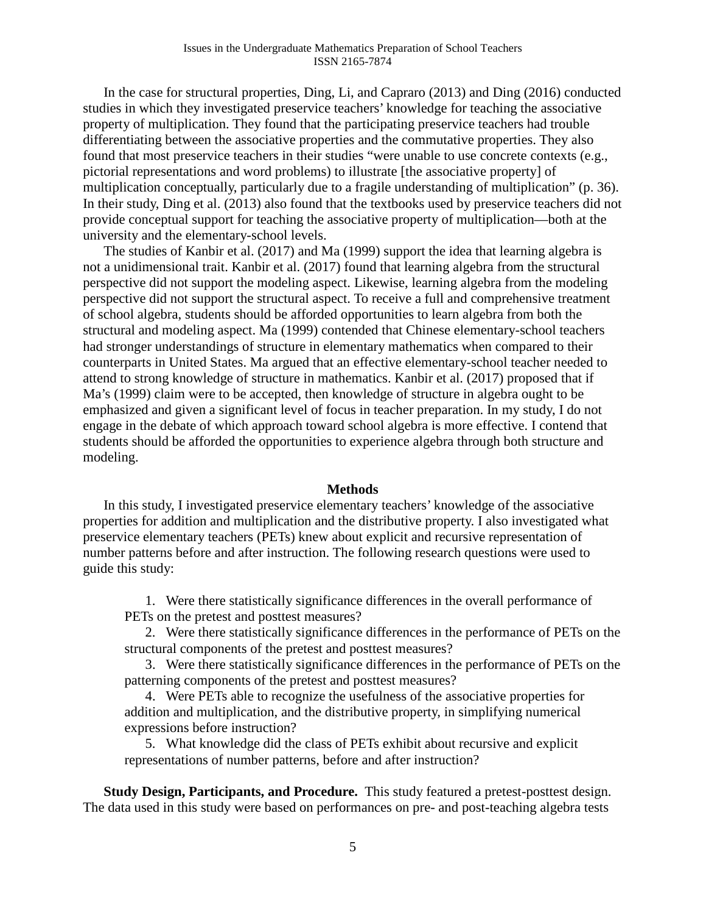In the case for structural properties, Ding, Li, and Capraro (2013) and Ding (2016) conducted studies in which they investigated preservice teachers' knowledge for teaching the associative property of multiplication. They found that the participating preservice teachers had trouble differentiating between the associative properties and the commutative properties. They also found that most preservice teachers in their studies "were unable to use concrete contexts (e.g., pictorial representations and word problems) to illustrate [the associative property] of multiplication conceptually, particularly due to a fragile understanding of multiplication" (p. 36). In their study, Ding et al. (2013) also found that the textbooks used by preservice teachers did not provide conceptual support for teaching the associative property of multiplication—both at the university and the elementary-school levels.

The studies of Kanbir et al. (2017) and Ma (1999) support the idea that learning algebra is not a unidimensional trait. Kanbir et al. (2017) found that learning algebra from the structural perspective did not support the modeling aspect. Likewise, learning algebra from the modeling perspective did not support the structural aspect. To receive a full and comprehensive treatment of school algebra, students should be afforded opportunities to learn algebra from both the structural and modeling aspect. Ma (1999) contended that Chinese elementary-school teachers had stronger understandings of structure in elementary mathematics when compared to their counterparts in United States. Ma argued that an effective elementary-school teacher needed to attend to strong knowledge of structure in mathematics. Kanbir et al. (2017) proposed that if Ma's (1999) claim were to be accepted, then knowledge of structure in algebra ought to be emphasized and given a significant level of focus in teacher preparation. In my study, I do not engage in the debate of which approach toward school algebra is more effective. I contend that students should be afforded the opportunities to experience algebra through both structure and modeling.

#### **Methods**

In this study, I investigated preservice elementary teachers' knowledge of the associative properties for addition and multiplication and the distributive property. I also investigated what preservice elementary teachers (PETs) knew about explicit and recursive representation of number patterns before and after instruction. The following research questions were used to guide this study:

1. Were there statistically significance differences in the overall performance of PETs on the pretest and posttest measures?

2. Were there statistically significance differences in the performance of PETs on the structural components of the pretest and posttest measures?

3. Were there statistically significance differences in the performance of PETs on the patterning components of the pretest and posttest measures?

4. Were PETs able to recognize the usefulness of the associative properties for addition and multiplication, and the distributive property, in simplifying numerical expressions before instruction?

5. What knowledge did the class of PETs exhibit about recursive and explicit representations of number patterns, before and after instruction?

**Study Design, Participants, and Procedure.** This study featured a pretest-posttest design. The data used in this study were based on performances on pre- and post-teaching algebra tests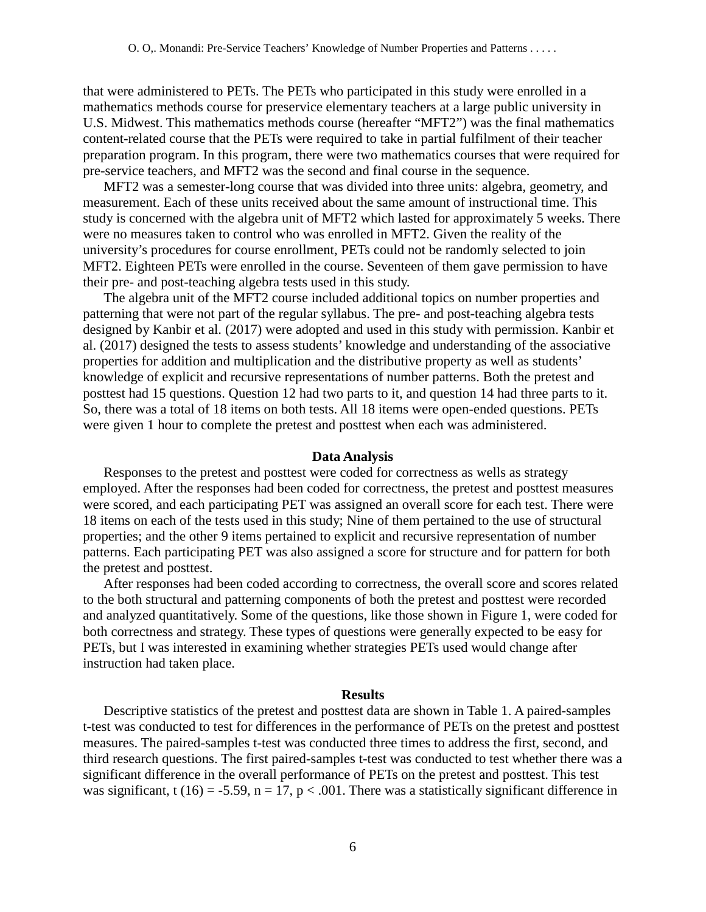that were administered to PETs. The PETs who participated in this study were enrolled in a mathematics methods course for preservice elementary teachers at a large public university in U.S. Midwest. This mathematics methods course (hereafter "MFT2") was the final mathematics content-related course that the PETs were required to take in partial fulfilment of their teacher preparation program. In this program, there were two mathematics courses that were required for pre-service teachers, and MFT2 was the second and final course in the sequence.

MFT2 was a semester-long course that was divided into three units: algebra, geometry, and measurement. Each of these units received about the same amount of instructional time. This study is concerned with the algebra unit of MFT2 which lasted for approximately 5 weeks. There were no measures taken to control who was enrolled in MFT2. Given the reality of the university's procedures for course enrollment, PETs could not be randomly selected to join MFT2. Eighteen PETs were enrolled in the course. Seventeen of them gave permission to have their pre- and post-teaching algebra tests used in this study.

The algebra unit of the MFT2 course included additional topics on number properties and patterning that were not part of the regular syllabus. The pre- and post-teaching algebra tests designed by Kanbir et al. (2017) were adopted and used in this study with permission. Kanbir et al. (2017) designed the tests to assess students' knowledge and understanding of the associative properties for addition and multiplication and the distributive property as well as students' knowledge of explicit and recursive representations of number patterns. Both the pretest and posttest had 15 questions. Question 12 had two parts to it, and question 14 had three parts to it. So, there was a total of 18 items on both tests. All 18 items were open-ended questions. PETs were given 1 hour to complete the pretest and posttest when each was administered.

#### **Data Analysis**

Responses to the pretest and posttest were coded for correctness as wells as strategy employed. After the responses had been coded for correctness, the pretest and posttest measures were scored, and each participating PET was assigned an overall score for each test. There were 18 items on each of the tests used in this study; Nine of them pertained to the use of structural properties; and the other 9 items pertained to explicit and recursive representation of number patterns. Each participating PET was also assigned a score for structure and for pattern for both the pretest and posttest.

After responses had been coded according to correctness, the overall score and scores related to the both structural and patterning components of both the pretest and posttest were recorded and analyzed quantitatively. Some of the questions, like those shown in Figure 1, were coded for both correctness and strategy. These types of questions were generally expected to be easy for PETs, but I was interested in examining whether strategies PETs used would change after instruction had taken place.

#### **Results**

Descriptive statistics of the pretest and posttest data are shown in Table 1. A paired-samples t-test was conducted to test for differences in the performance of PETs on the pretest and posttest measures. The paired-samples t-test was conducted three times to address the first, second, and third research questions. The first paired-samples t-test was conducted to test whether there was a significant difference in the overall performance of PETs on the pretest and posttest. This test was significant, t (16) = -5.59, n = 17, p < .001. There was a statistically significant difference in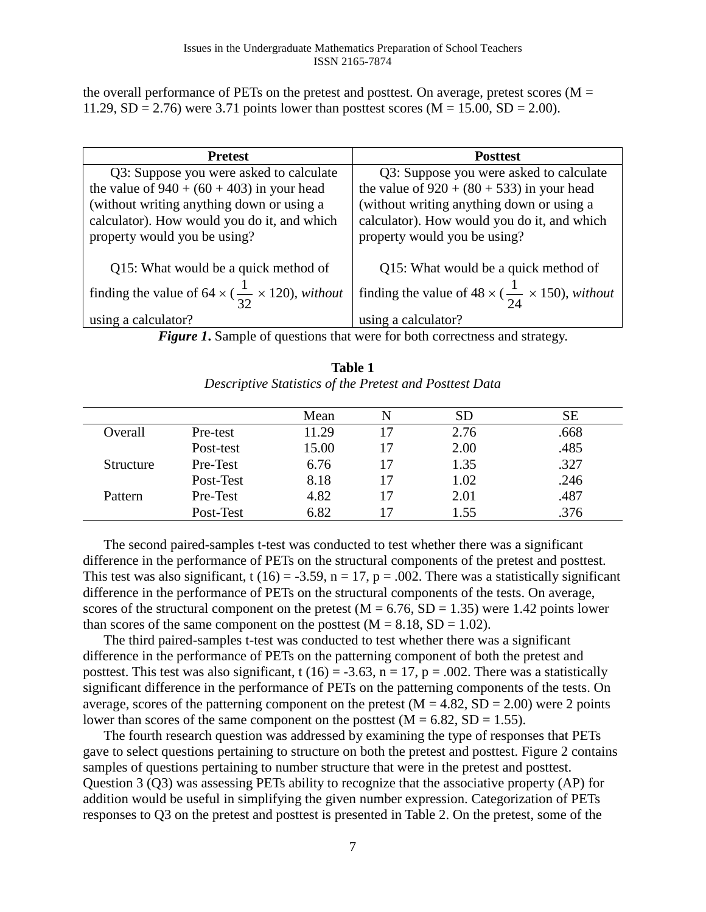the overall performance of PETs on the pretest and posttest. On average, pretest scores ( $M =$ 11.29,  $SD = 2.76$ ) were 3.71 points lower than posttest scores ( $M = 15.00$ ,  $SD = 2.00$ ).

| <b>Pretest</b>                                                          | <b>Posttest</b>                                                      |
|-------------------------------------------------------------------------|----------------------------------------------------------------------|
| Q3: Suppose you were asked to calculate                                 | Q3: Suppose you were asked to calculate                              |
| the value of $940 + (60 + 403)$ in your head                            | the value of $920 + (80 + 533)$ in your head                         |
| (without writing anything down or using a                               | (without writing anything down or using a                            |
| calculator). How would you do it, and which                             | calculator). How would you do it, and which                          |
| property would you be using?                                            | property would you be using?                                         |
|                                                                         |                                                                      |
| Q15: What would be a quick method of                                    | Q15: What would be a quick method of                                 |
| finding the value of 64 $\times$ ( $\frac{1}{32} \times 120$ ), without | finding the value of $48 \times (\frac{1}{24} \times 150)$ , without |
| using a calculator?                                                     | using a calculator?                                                  |

*Figure 1***.** Sample of questions that were for both correctness and strategy.

|           |           | Mean  | N  | <b>SD</b> | <b>SE</b> |
|-----------|-----------|-------|----|-----------|-----------|
| Overall   | Pre-test  | 11.29 | 17 | 2.76      | .668      |
|           | Post-test | 15.00 | 17 | 2.00      | .485      |
| Structure | Pre-Test  | 6.76  | 17 | 1.35      | .327      |
|           | Post-Test | 8.18  | 17 | 1.02      | .246      |
| Pattern   | Pre-Test  | 4.82  | 17 | 2.01      | .487      |
|           | Post-Test | 6.82  |    | 1.55      | .376      |

| <b>Table 1</b>                                          |
|---------------------------------------------------------|
| Descriptive Statistics of the Pretest and Posttest Data |

The second paired-samples t-test was conducted to test whether there was a significant difference in the performance of PETs on the structural components of the pretest and posttest. This test was also significant, t (16) = -3.59, n = 17, p = .002. There was a statistically significant difference in the performance of PETs on the structural components of the tests. On average, scores of the structural component on the pretest  $(M = 6.76, SD = 1.35)$  were 1.42 points lower than scores of the same component on the posttest  $(M = 8.18, SD = 1.02)$ .

The third paired-samples t-test was conducted to test whether there was a significant difference in the performance of PETs on the patterning component of both the pretest and posttest. This test was also significant, t (16) = -3.63, n = 17, p = .002. There was a statistically significant difference in the performance of PETs on the patterning components of the tests. On average, scores of the patterning component on the pretest  $(M = 4.82, SD = 2.00)$  were 2 points lower than scores of the same component on the posttest  $(M = 6.82, SD = 1.55)$ .

The fourth research question was addressed by examining the type of responses that PETs gave to select questions pertaining to structure on both the pretest and posttest. Figure 2 contains samples of questions pertaining to number structure that were in the pretest and posttest. Question 3 (Q3) was assessing PETs ability to recognize that the associative property (AP) for addition would be useful in simplifying the given number expression. Categorization of PETs responses to Q3 on the pretest and posttest is presented in Table 2. On the pretest, some of the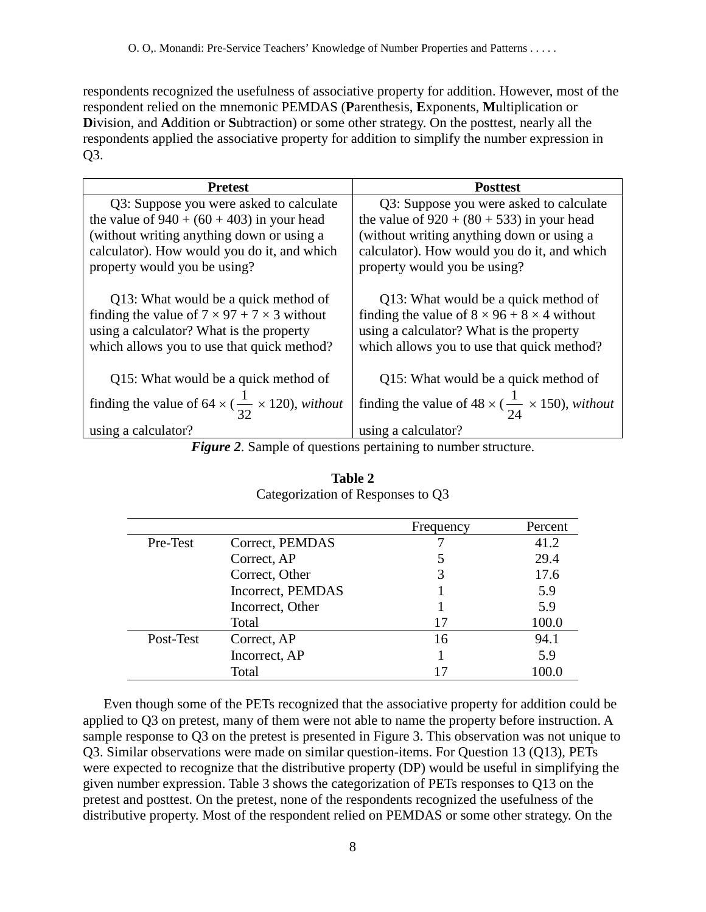respondents recognized the usefulness of associative property for addition. However, most of the respondent relied on the mnemonic PEMDAS (**P**arenthesis, **E**xponents, **M**ultiplication or **D**ivision, and **A**ddition or **S**ubtraction) or some other strategy. On the posttest, nearly all the respondents applied the associative property for addition to simplify the number expression in Q3.

| <b>Pretest</b>                                                                                                                                                                            | <b>Posttest</b>                                                                                                                                                                           |
|-------------------------------------------------------------------------------------------------------------------------------------------------------------------------------------------|-------------------------------------------------------------------------------------------------------------------------------------------------------------------------------------------|
| Q3: Suppose you were asked to calculate                                                                                                                                                   | Q3: Suppose you were asked to calculate                                                                                                                                                   |
| the value of $940 + (60 + 403)$ in your head                                                                                                                                              | the value of $920 + (80 + 533)$ in your head                                                                                                                                              |
| (without writing anything down or using a                                                                                                                                                 | (without writing anything down or using a                                                                                                                                                 |
| calculator). How would you do it, and which                                                                                                                                               | calculator). How would you do it, and which                                                                                                                                               |
| property would you be using?                                                                                                                                                              | property would you be using?                                                                                                                                                              |
| Q13: What would be a quick method of<br>finding the value of $7 \times 97 + 7 \times 3$ without<br>using a calculator? What is the property<br>which allows you to use that quick method? | Q13: What would be a quick method of<br>finding the value of $8 \times 96 + 8 \times 4$ without<br>using a calculator? What is the property<br>which allows you to use that quick method? |
| Q15: What would be a quick method of                                                                                                                                                      | Q15: What would be a quick method of                                                                                                                                                      |
| finding the value of 64 $\times$ ( $\frac{1}{32} \times 120$ ), without                                                                                                                   | finding the value of $48 \times (\frac{1}{24} \times 150)$ , without                                                                                                                      |
| using a calculator?                                                                                                                                                                       | using a calculator?                                                                                                                                                                       |

*Figure 2*. Sample of questions pertaining to number structure.

|                                                            |                   | Frequency | Percent |
|------------------------------------------------------------|-------------------|-----------|---------|
| Pre-Test                                                   | Correct, PEMDAS   |           | 41.2    |
| Correct, AP<br>Correct, Other<br>Incorrect, Other<br>Total |                   |           | 29.4    |
|                                                            |                   | 3         | 17.6    |
|                                                            | Incorrect, PEMDAS |           | 5.9     |
|                                                            |                   |           | 5.9     |
|                                                            |                   | 17        | 100.0   |
| Post-Test                                                  | Correct, AP       | 16        | 94.1    |
|                                                            | Incorrect, AP     |           | 5.9     |
|                                                            | Total             |           |         |

**Table 2** Categorization of Responses to Q3

Even though some of the PETs recognized that the associative property for addition could be applied to Q3 on pretest, many of them were not able to name the property before instruction. A sample response to Q3 on the pretest is presented in Figure 3. This observation was not unique to Q3. Similar observations were made on similar question-items. For Question 13 (Q13), PETs were expected to recognize that the distributive property (DP) would be useful in simplifying the given number expression. Table 3 shows the categorization of PETs responses to Q13 on the pretest and posttest. On the pretest, none of the respondents recognized the usefulness of the distributive property. Most of the respondent relied on PEMDAS or some other strategy. On the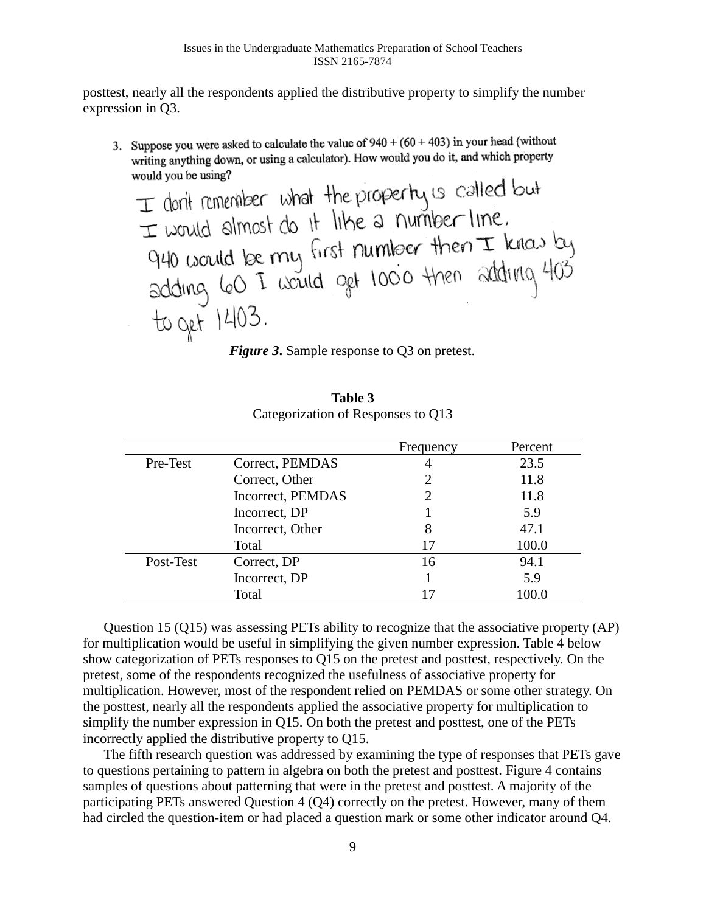posttest, nearly all the respondents applied the distributive property to simplify the number expression in Q3.

3. Suppose you were asked to calculate the value of  $940 + (60 + 403)$  in your head (without writing anything down, or using a calculator). How would you do it, and which property would you be using?

 $\pm$  don't remember what the property is called but<br> $\pm$  would almost do it like a number line.<br>940 would be rny first number then  $\pm$  kines by<br>adding 60 I would get 1000 then adding 403<br> $\pm$  b get 1403.<br>Figure 3. Sample

|           |                   | Frequency | Percent |
|-----------|-------------------|-----------|---------|
| Pre-Test  | Correct, PEMDAS   | 4         | 23.5    |
|           | Correct, Other    |           | 11.8    |
|           | Incorrect, PEMDAS |           | 11.8    |
|           | Incorrect, DP     |           | 5.9     |
|           | Incorrect, Other  | 8         | 47.1    |
|           | Total             | 17        | 100.0   |
| Post-Test | Correct, DP       | 16        | 94.1    |
|           | Incorrect, DP     |           | 5.9     |
|           | Total             |           | 100.0   |

**Table 3** Categorization of Responses to Q13

Question 15 (Q15) was assessing PETs ability to recognize that the associative property (AP) for multiplication would be useful in simplifying the given number expression. Table 4 below show categorization of PETs responses to Q15 on the pretest and posttest, respectively. On the pretest, some of the respondents recognized the usefulness of associative property for multiplication. However, most of the respondent relied on PEMDAS or some other strategy. On the posttest, nearly all the respondents applied the associative property for multiplication to simplify the number expression in Q15. On both the pretest and posttest, one of the PETs incorrectly applied the distributive property to Q15.

The fifth research question was addressed by examining the type of responses that PETs gave to questions pertaining to pattern in algebra on both the pretest and posttest. Figure 4 contains samples of questions about patterning that were in the pretest and posttest. A majority of the participating PETs answered Question 4 (Q4) correctly on the pretest. However, many of them had circled the question-item or had placed a question mark or some other indicator around Q4.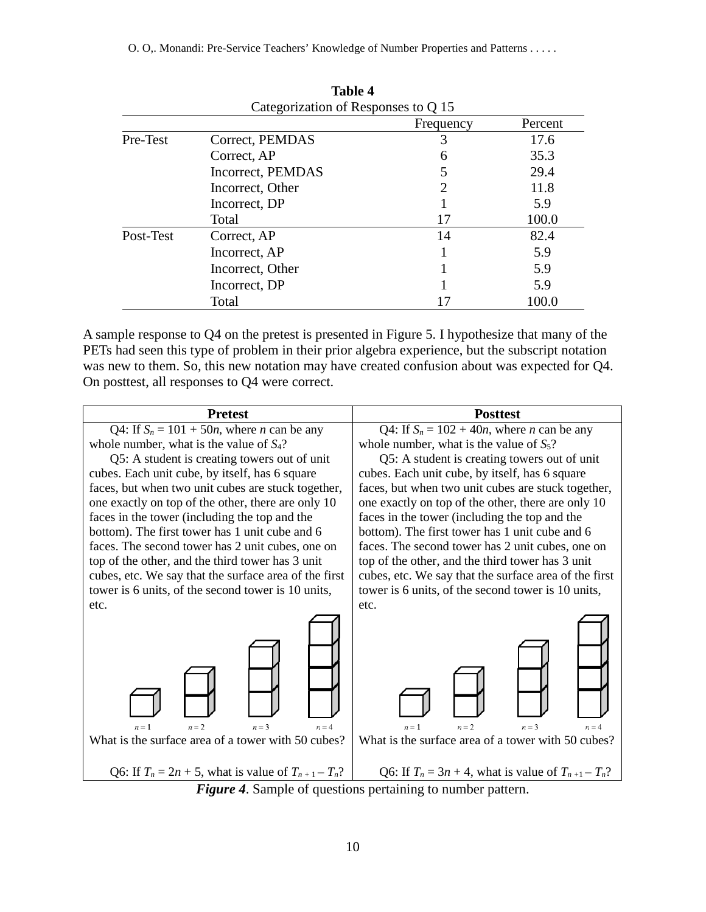O. O,. Monandi: Pre-Service Teachers' Knowledge of Number Properties and Patterns . . . . .

|                                     | тамм т            |           |         |  |
|-------------------------------------|-------------------|-----------|---------|--|
| Categorization of Responses to Q 15 |                   |           |         |  |
|                                     |                   | Frequency | Percent |  |
| Pre-Test                            | Correct, PEMDAS   | 3         | 17.6    |  |
|                                     | Correct, AP       | 6         | 35.3    |  |
|                                     | Incorrect, PEMDAS |           | 29.4    |  |
|                                     | Incorrect, Other  | 2         | 11.8    |  |
|                                     | Incorrect, DP     |           | 5.9     |  |
|                                     | Total             | 17        | 100.0   |  |
| Post-Test                           | Correct, AP       | 14        | 82.4    |  |
|                                     | Incorrect, AP     |           | 5.9     |  |
|                                     | Incorrect, Other  |           | 5.9     |  |
|                                     | Incorrect, DP     |           | 5.9     |  |
|                                     | Total             | 17        | 100.0   |  |

**Table 4**

A sample response to Q4 on the pretest is presented in Figure 5. I hypothesize that many of the PETs had seen this type of problem in their prior algebra experience, but the subscript notation was new to them. So, this new notation may have created confusion about was expected for Q4. On posttest, all responses to Q4 were correct.

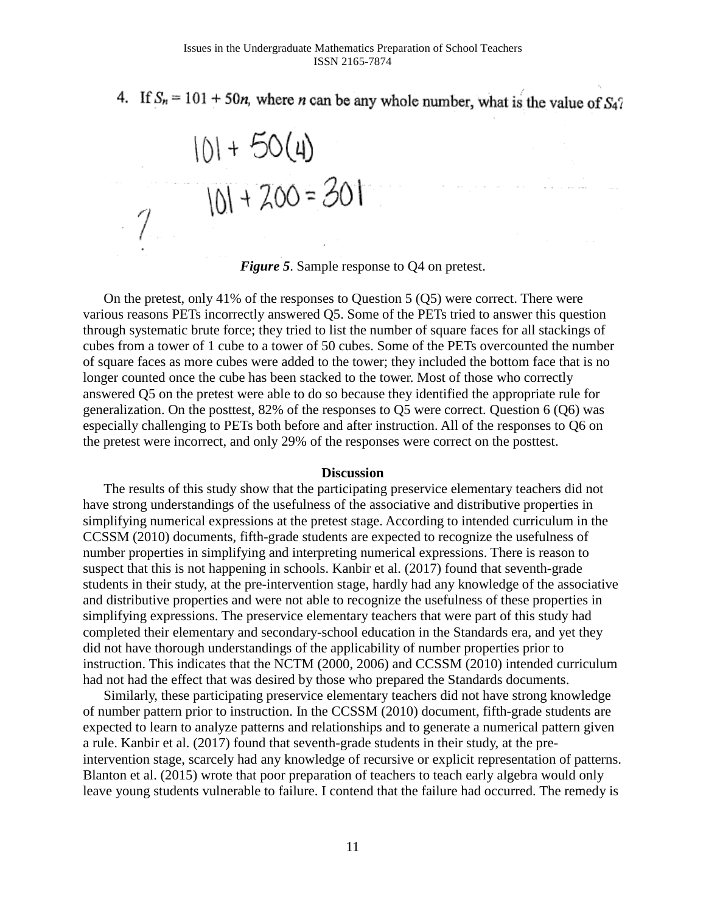4. If  $S_n = 101 + 50n$ , where *n* can be any whole number, what is the value of  $S_4$ ?

 $101 + 50(4)$ <br> $101 + 700 = 301$ 

*Figure 5.* Sample response to Q4 on pretest.

On the pretest, only 41% of the responses to Question 5 (Q5) were correct. There were various reasons PETs incorrectly answered Q5. Some of the PETs tried to answer this question through systematic brute force; they tried to list the number of square faces for all stackings of cubes from a tower of 1 cube to a tower of 50 cubes. Some of the PETs overcounted the number of square faces as more cubes were added to the tower; they included the bottom face that is no longer counted once the cube has been stacked to the tower. Most of those who correctly answered Q5 on the pretest were able to do so because they identified the appropriate rule for generalization. On the posttest, 82% of the responses to Q5 were correct. Question 6 (Q6) was especially challenging to PETs both before and after instruction. All of the responses to Q6 on the pretest were incorrect, and only 29% of the responses were correct on the posttest.

### **Discussion**

The results of this study show that the participating preservice elementary teachers did not have strong understandings of the usefulness of the associative and distributive properties in simplifying numerical expressions at the pretest stage. According to intended curriculum in the CCSSM (2010) documents, fifth-grade students are expected to recognize the usefulness of number properties in simplifying and interpreting numerical expressions. There is reason to suspect that this is not happening in schools. Kanbir et al. (2017) found that seventh-grade students in their study, at the pre-intervention stage, hardly had any knowledge of the associative and distributive properties and were not able to recognize the usefulness of these properties in simplifying expressions. The preservice elementary teachers that were part of this study had completed their elementary and secondary-school education in the Standards era, and yet they did not have thorough understandings of the applicability of number properties prior to instruction. This indicates that the NCTM (2000, 2006) and CCSSM (2010) intended curriculum had not had the effect that was desired by those who prepared the Standards documents.

Similarly, these participating preservice elementary teachers did not have strong knowledge of number pattern prior to instruction. In the CCSSM (2010) document, fifth-grade students are expected to learn to analyze patterns and relationships and to generate a numerical pattern given a rule. Kanbir et al. (2017) found that seventh-grade students in their study, at the preintervention stage, scarcely had any knowledge of recursive or explicit representation of patterns. Blanton et al. (2015) wrote that poor preparation of teachers to teach early algebra would only leave young students vulnerable to failure. I contend that the failure had occurred. The remedy is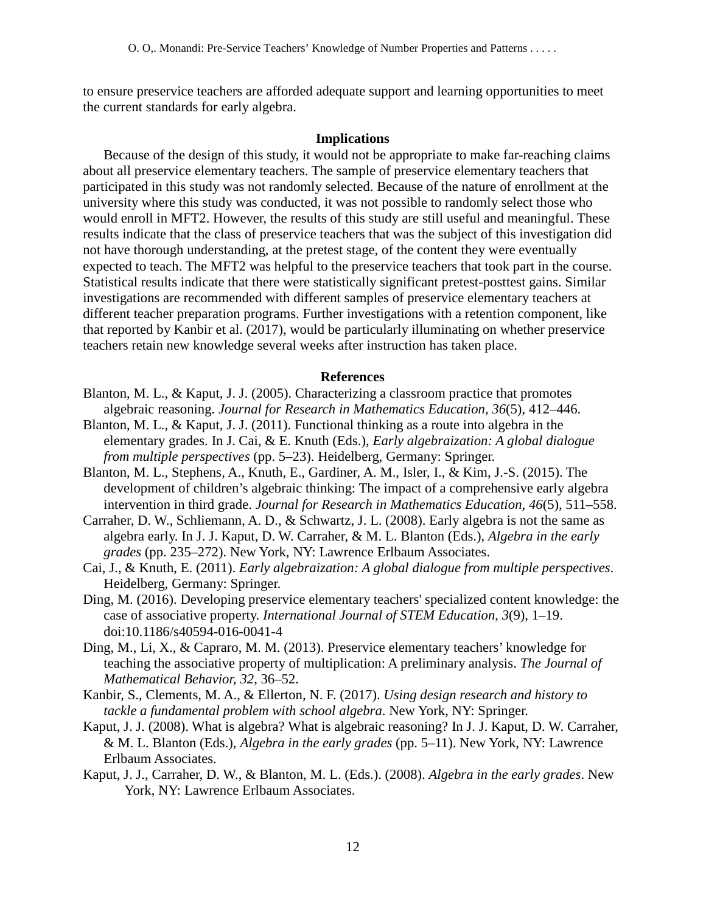to ensure preservice teachers are afforded adequate support and learning opportunities to meet the current standards for early algebra.

### **Implications**

Because of the design of this study, it would not be appropriate to make far-reaching claims about all preservice elementary teachers. The sample of preservice elementary teachers that participated in this study was not randomly selected. Because of the nature of enrollment at the university where this study was conducted, it was not possible to randomly select those who would enroll in MFT2. However, the results of this study are still useful and meaningful. These results indicate that the class of preservice teachers that was the subject of this investigation did not have thorough understanding, at the pretest stage, of the content they were eventually expected to teach. The MFT2 was helpful to the preservice teachers that took part in the course. Statistical results indicate that there were statistically significant pretest-posttest gains. Similar investigations are recommended with different samples of preservice elementary teachers at different teacher preparation programs. Further investigations with a retention component, like that reported by Kanbir et al. (2017), would be particularly illuminating on whether preservice teachers retain new knowledge several weeks after instruction has taken place.

### **References**

- Blanton, M. L., & Kaput, J. J. (2005). Characterizing a classroom practice that promotes algebraic reasoning. *Journal for Research in Mathematics Education, 36*(5), 412–446.
- Blanton, M. L., & Kaput, J. J. (2011). Functional thinking as a route into algebra in the elementary grades. In J. Cai, & E. Knuth (Eds.), *Early algebraization: A global dialogue from multiple perspectives* (pp. 5–23). Heidelberg, Germany: Springer.
- Blanton, M. L., Stephens, A., Knuth, E., Gardiner, A. M., Isler, I., & Kim, J.-S. (2015). The development of children's algebraic thinking: The impact of a comprehensive early algebra intervention in third grade. *Journal for Research in Mathematics Education, 46*(5), 511–558.
- Carraher, D. W., Schliemann, A. D., & Schwartz, J. L. (2008). Early algebra is not the same as algebra early. In J. J. Kaput, D. W. Carraher, & M. L. Blanton (Eds.), *Algebra in the early grades* (pp. 235–272). New York, NY: Lawrence Erlbaum Associates.
- Cai, J., & Knuth, E. (2011). *Early algebraization: A global dialogue from multiple perspectives*. Heidelberg, Germany: Springer.
- Ding, M. (2016). Developing preservice elementary teachers' specialized content knowledge: the case of associative property. *International Journal of STEM Education*, *3*(9), 1–19. doi:10.1186/s40594-016-0041-4
- Ding, M., Li, X., & Capraro, M. M. (2013). Preservice elementary teachers' knowledge for teaching the associative property of multiplication: A preliminary analysis. *The Journal of Mathematical Behavior, 32*, 36–52.
- Kanbir, S., Clements, M. A., & Ellerton, N. F. (2017). *Using design research and history to tackle a fundamental problem with school algebra*. New York, NY: Springer.
- Kaput, J. J. (2008). What is algebra? What is algebraic reasoning? In J. J. Kaput, D. W. Carraher, & M. L. Blanton (Eds.), *Algebra in the early grades* (pp. 5–11). New York, NY: Lawrence Erlbaum Associates.
- Kaput, J. J., Carraher, D. W., & Blanton, M. L. (Eds.). (2008). *Algebra in the early grades*. New York, NY: Lawrence Erlbaum Associates.